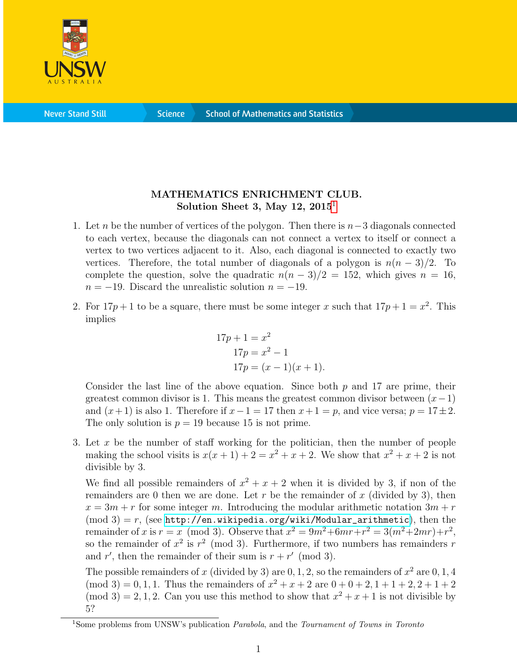

**Science** 

## MATHEMATICS ENRICHMENT CLUB. Solution Sheet 3, May  $12$  $12$ ,  $2015<sup>1</sup>$

- 1. Let n be the number of vertices of the polygon. Then there is  $n-3$  diagonals connected to each vertex, because the diagonals can not connect a vertex to itself or connect a vertex to two vertices adjacent to it. Also, each diagonal is connected to exactly two vertices. Therefore, the total number of diagonals of a polygon is  $n(n-3)/2$ . To complete the question, solve the quadratic  $n(n-3)/2 = 152$ , which gives  $n = 16$ ,  $n = -19$ . Discard the unrealistic solution  $n = -19$ .
- 2. For  $17p + 1$  to be a square, there must be some integer x such that  $17p + 1 = x^2$ . This implies

$$
17p + 1 = x2
$$
  
\n
$$
17p = x2 - 1
$$
  
\n
$$
17p = (x - 1)(x + 1).
$$

Consider the last line of the above equation. Since both  $p$  and 17 are prime, their greatest common divisor is 1. This means the greatest common divisor between  $(x-1)$ and  $(x+1)$  is also 1. Therefore if  $x-1=17$  then  $x+1=p$ , and vice versa;  $p=17\pm 2$ . The only solution is  $p = 19$  because 15 is not prime.

3. Let x be the number of staff working for the politician, then the number of people making the school visits is  $x(x+1) + 2 = x^2 + x + 2$ . We show that  $x^2 + x + 2$  is not divisible by 3.

We find all possible remainders of  $x^2 + x + 2$  when it is divided by 3, if non of the remainders are 0 then we are done. Let r be the remainder of x (divided by 3), then  $x = 3m + r$  for some integer m. Introducing the modular arithmetic notation  $3m + r$  $\pmod{3} = r$ , (see [http://en.wikipedia.org/wiki/Modular\\_arithmetic](http://en.wikipedia.org/wiki/Modular_arithmetic)), then the remainder of x is  $r = x \pmod{3}$ . Observe that  $x^2 = 9m^2 + 6mr + r^2 = 3(m^2 + 2mr) + r^2$ , so the remainder of  $x^2$  is  $r^2 \pmod{3}$ . Furthermore, if two numbers has remainders r and r', then the remainder of their sum is  $r + r' \pmod{3}$ .

The possible remainders of x (divided by 3) are  $0, 1, 2$ , so the remainders of  $x^2$  are  $0, 1, 4$ (mod 3) = 0, 1, 1. Thus the remainders of  $x^2 + x + 2$  are  $0 + 0 + 2$ ,  $1 + 1 + 2$ ,  $2 + 1 + 2$  $\pmod{3} = 2, 1, 2$ . Can you use this method to show that  $x^2 + x + 1$  is not divisible by 5?

<span id="page-0-0"></span><sup>&</sup>lt;sup>1</sup>Some problems from UNSW's publication *Parabola*, and the *Tournament of Towns in Toronto*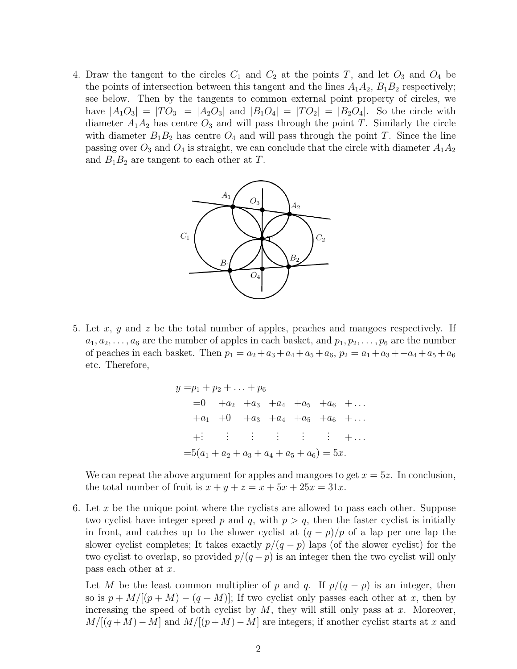4. Draw the tangent to the circles  $C_1$  and  $C_2$  at the points T, and let  $O_3$  and  $O_4$  be the points of intersection between this tangent and the lines  $A_1A_2$ ,  $B_1B_2$  respectively; see below. Then by the tangents to common external point property of circles, we have  $|A_1O_3| = |TO_3| = |A_2O_3|$  and  $|B_1O_4| = |TO_2| = |B_2O_4|$ . So the circle with diameter  $A_1A_2$  has centre  $O_3$  and will pass through the point T. Similarly the circle with diameter  $B_1B_2$  has centre  $O_4$  and will pass through the point T. Since the line passing over  $O_3$  and  $O_4$  is straight, we can conclude that the circle with diameter  $A_1A_2$ and  $B_1B_2$  are tangent to each other at T.



5. Let x, y and z be the total number of apples, peaches and mangoes respectively. If  $a_1, a_2, \ldots, a_6$  are the number of apples in each basket, and  $p_1, p_2, \ldots, p_6$  are the number of peaches in each basket. Then  $p_1 = a_2 + a_3 + a_4 + a_5 + a_6$ ,  $p_2 = a_1 + a_3 + a_4 + a_5 + a_6$ etc. Therefore,

$$
y = p_1 + p_2 + \dots + p_6
$$
  
= 0 + a<sub>2</sub> + a<sub>3</sub> + a<sub>4</sub> + a<sub>5</sub> + a<sub>6</sub> + ...  
+ a<sub>1</sub> + 0 + a<sub>3</sub> + a<sub>4</sub> + a<sub>5</sub> + a<sub>6</sub> + ...  
+: : : : : : : : : + ...  
= 5(a<sub>1</sub> + a<sub>2</sub> + a<sub>3</sub> + a<sub>4</sub> + a<sub>5</sub> + a<sub>6</sub>) = 5x.

We can repeat the above argument for apples and mangoes to get  $x = 5z$ . In conclusion, the total number of fruit is  $x + y + z = x + 5x + 25x = 31x$ .

6. Let x be the unique point where the cyclists are allowed to pass each other. Suppose two cyclist have integer speed p and q, with  $p > q$ , then the faster cyclist is initially in front, and catches up to the slower cyclist at  $(q - p)/p$  of a lap per one lap the slower cyclist completes; It takes exactly  $p/(q-p)$  laps (of the slower cyclist) for the two cyclist to overlap, so provided  $p/(q-p)$  is an integer then the two cyclist will only pass each other at x.

Let M be the least common multiplier of p and q. If  $p/(q-p)$  is an integer, then so is  $p + M/[(p + M) - (q + M)]$ ; If two cyclist only passes each other at x, then by increasing the speed of both cyclist by  $M$ , they will still only pass at  $x$ . Moreover,  $M/[(q+M)-M]$  and  $M/[(p+M)-M]$  are integers; if another cyclist starts at x and